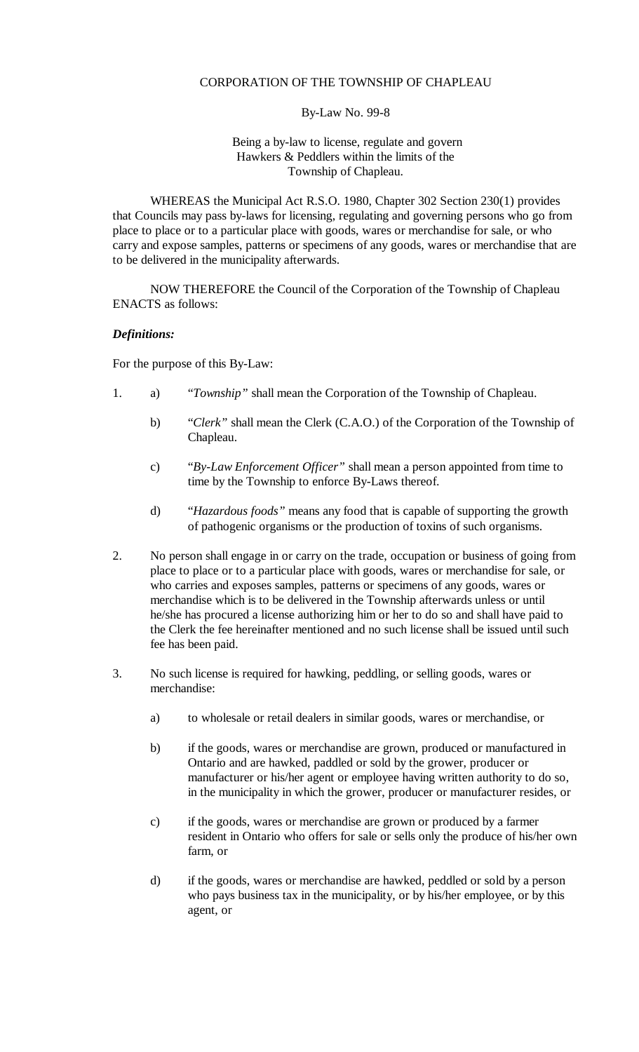## CORPORATION OF THE TOWNSHIP OF CHAPLEAU

## By-Law No. 99-8

## Being a by-law to license, regulate and govern Hawkers & Peddlers within the limits of the Township of Chapleau.

WHEREAS the Municipal Act R.S.O. 1980, Chapter 302 Section 230(1) provides that Councils may pass by-laws for licensing, regulating and governing persons who go from place to place or to a particular place with goods, wares or merchandise for sale, or who carry and expose samples, patterns or specimens of any goods, wares or merchandise that are to be delivered in the municipality afterwards.

NOW THEREFORE the Council of the Corporation of the Township of Chapleau ENACTS as follows:

## *Definitions:*

For the purpose of this By-Law:

- 1. a) "*Township"* shall mean the Corporation of the Township of Chapleau.
	- b) "*Clerk"* shall mean the Clerk (C.A.O.) of the Corporation of the Township of Chapleau.
	- c) "*By-Law Enforcement Officer"* shall mean a person appointed from time to time by the Township to enforce By-Laws thereof.
	- d) "*Hazardous foods"* means any food that is capable of supporting the growth of pathogenic organisms or the production of toxins of such organisms.
- 2. No person shall engage in or carry on the trade, occupation or business of going from place to place or to a particular place with goods, wares or merchandise for sale, or who carries and exposes samples, patterns or specimens of any goods, wares or merchandise which is to be delivered in the Township afterwards unless or until he/she has procured a license authorizing him or her to do so and shall have paid to the Clerk the fee hereinafter mentioned and no such license shall be issued until such fee has been paid.
- 3. No such license is required for hawking, peddling, or selling goods, wares or merchandise:
	- a) to wholesale or retail dealers in similar goods, wares or merchandise, or
	- b) if the goods, wares or merchandise are grown, produced or manufactured in Ontario and are hawked, paddled or sold by the grower, producer or manufacturer or his/her agent or employee having written authority to do so, in the municipality in which the grower, producer or manufacturer resides, or
	- c) if the goods, wares or merchandise are grown or produced by a farmer resident in Ontario who offers for sale or sells only the produce of his/her own farm, or
	- d) if the goods, wares or merchandise are hawked, peddled or sold by a person who pays business tax in the municipality, or by his/her employee, or by this agent, or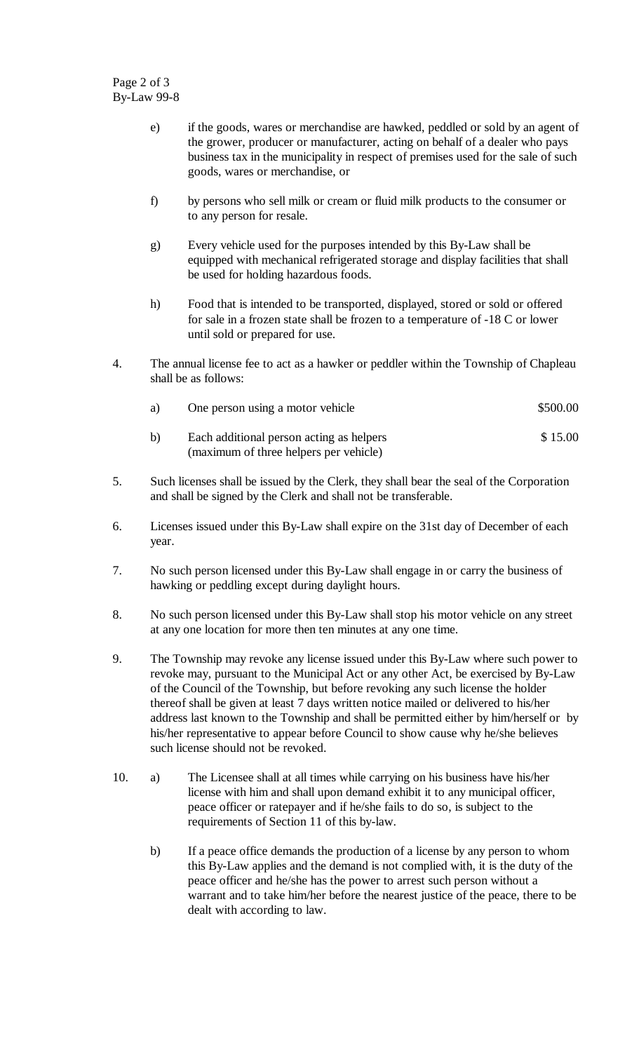Page 2 of 3 By-Law 99-8

- e) if the goods, wares or merchandise are hawked, peddled or sold by an agent of the grower, producer or manufacturer, acting on behalf of a dealer who pays business tax in the municipality in respect of premises used for the sale of such goods, wares or merchandise, or
- f) by persons who sell milk or cream or fluid milk products to the consumer or to any person for resale.
- g) Every vehicle used for the purposes intended by this By-Law shall be equipped with mechanical refrigerated storage and display facilities that shall be used for holding hazardous foods.
- h) Food that is intended to be transported, displayed, stored or sold or offered for sale in a frozen state shall be frozen to a temperature of -18 C or lower until sold or prepared for use.
- 4. The annual license fee to act as a hawker or peddler within the Township of Chapleau shall be as follows:

| a) | One person using a motor vehicle         | \$500.00 |
|----|------------------------------------------|----------|
| b) | Each additional person acting as helpers | \$15.00  |

5. Such licenses shall be issued by the Clerk, they shall bear the seal of the Corporation and shall be signed by the Clerk and shall not be transferable.

(maximum of three helpers per vehicle)

- 6. Licenses issued under this By-Law shall expire on the 31st day of December of each year.
- 7. No such person licensed under this By-Law shall engage in or carry the business of hawking or peddling except during daylight hours.
- 8. No such person licensed under this By-Law shall stop his motor vehicle on any street at any one location for more then ten minutes at any one time.
- 9. The Township may revoke any license issued under this By-Law where such power to revoke may, pursuant to the Municipal Act or any other Act, be exercised by By-Law of the Council of the Township, but before revoking any such license the holder thereof shall be given at least 7 days written notice mailed or delivered to his/her address last known to the Township and shall be permitted either by him/herself or by his/her representative to appear before Council to show cause why he/she believes such license should not be revoked.
- 10. a) The Licensee shall at all times while carrying on his business have his/her license with him and shall upon demand exhibit it to any municipal officer, peace officer or ratepayer and if he/she fails to do so, is subject to the requirements of Section 11 of this by-law.
	- b) If a peace office demands the production of a license by any person to whom this By-Law applies and the demand is not complied with, it is the duty of the peace officer and he/she has the power to arrest such person without a warrant and to take him/her before the nearest justice of the peace, there to be dealt with according to law.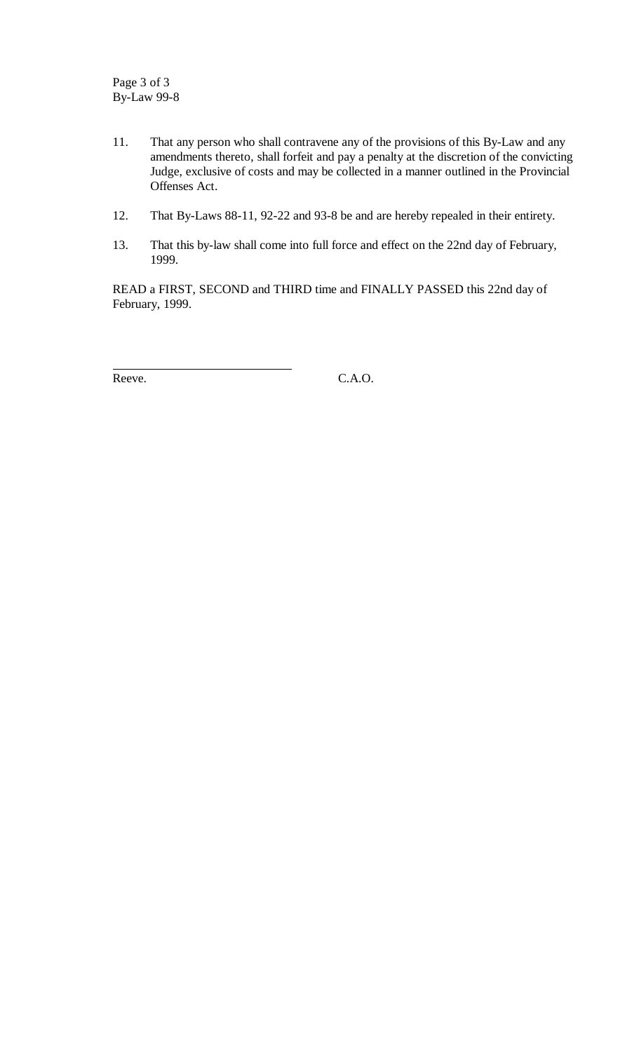- 11. That any person who shall contravene any of the provisions of this By-Law and any amendments thereto, shall forfeit and pay a penalty at the discretion of the convicting Judge, exclusive of costs and may be collected in a manner outlined in the Provincial Offenses Act.
- 12. That By-Laws 88-11, 92-22 and 93-8 be and are hereby repealed in their entirety.
- 13. That this by-law shall come into full force and effect on the 22nd day of February, 1999.

READ a FIRST, SECOND and THIRD time and FINALLY PASSED this 22nd day of February, 1999.

 $\overline{a}$ 

Reeve. C.A.O.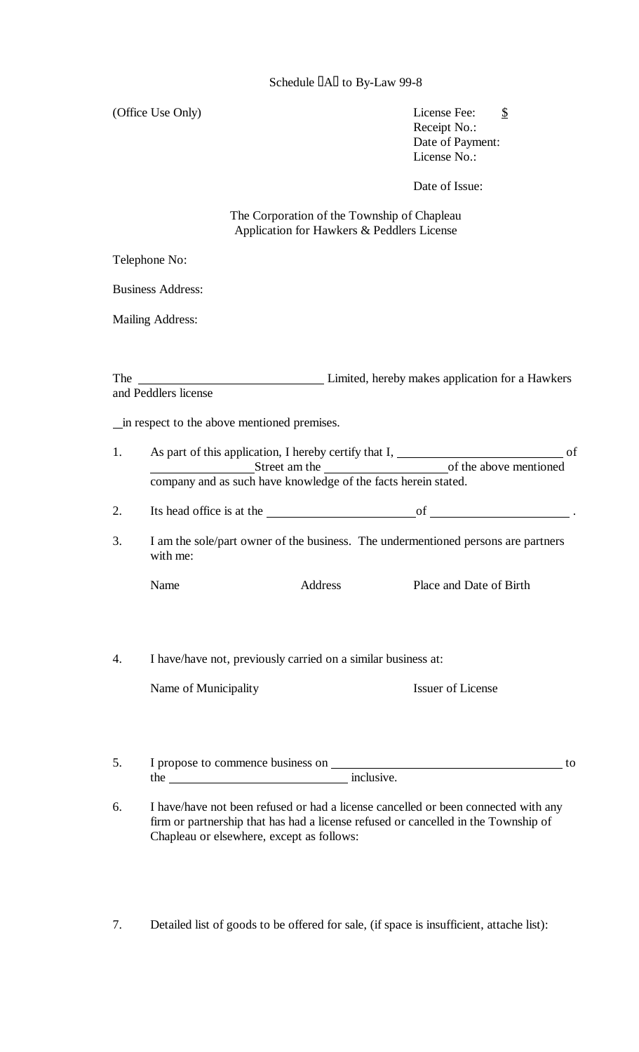(Office Use Only) License Fee:  $\frac{\$}{\$}$ 

Receipt No.: Date of Payment: License No.:

Date of Issue:

 The Corporation of the Township of Chapleau Application for Hawkers & Peddlers License

Telephone No:

Business Address:

Mailing Address:

The Limited, hereby makes application for a Hawkers and Peddlers license

in respect to the above mentioned premises.

- 1. As part of this application, I hereby certify that I, of Street am the of the above mentioned company and as such have knowledge of the facts herein stated.
- 2. Its head office is at the  $\frac{1}{\sqrt{2\pi}}$  of  $\frac{1}{\sqrt{2\pi}}$ .
- 3. I am the sole/part owner of the business. The undermentioned persons are partners with me:

| Name | Address | Place and Date of Birth |
|------|---------|-------------------------|
|      |         |                         |

4. I have/have not, previously carried on a similar business at:

Name of Municipality

|  | <b>Issuer of License</b> |
|--|--------------------------|
|  |                          |

- 5. I propose to commence business on  $\overline{\phantom{a}}$  to the inclusive.
- 6. I have/have not been refused or had a license cancelled or been connected with any firm or partnership that has had a license refused or cancelled in the Township of Chapleau or elsewhere, except as follows:
- 7. Detailed list of goods to be offered for sale, (if space is insufficient, attache list):